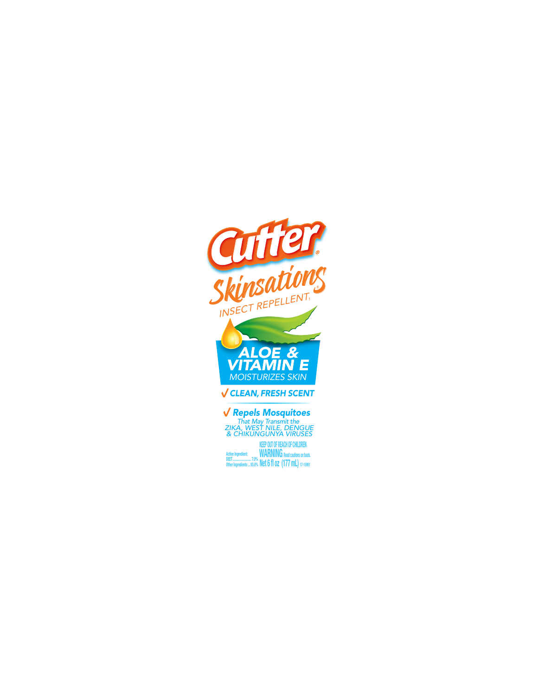